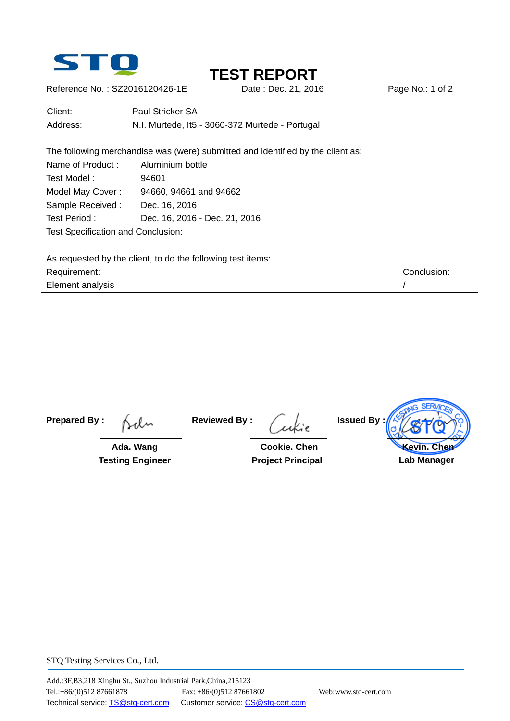

# **TEST REPORT**

Reference No.: SZ2016120426-1E Date : Dec. 21, 2016 Page No.: 1 of 2

| Client:  | Paul Stricker SA                                |
|----------|-------------------------------------------------|
| Address: | N.I. Murtede, It5 - 3060-372 Murtede - Portugal |

The following merchandise was (were) submitted and identified by the client as: Name of Product : Aluminium bottle Test Model: 94601 Model May Cover : 94660, 94661 and 94662 Sample Received : Dec. 16, 2016 Test Period : Dec. 16, 2016 - Dec. 21, 2016 Test Specification and Conclusion:

As requested by the client, to do the following test items: Requirement: Conclusion: Element analysis //

**Prepared By :**

 **Ada. Wang Testing Engineer**  **Reviewed By :**

 **Cookie. Chen Project Principal**  **Issued By : Kevin. Chen Lab Manager** 

STQ Testing Services Co., Ltd.